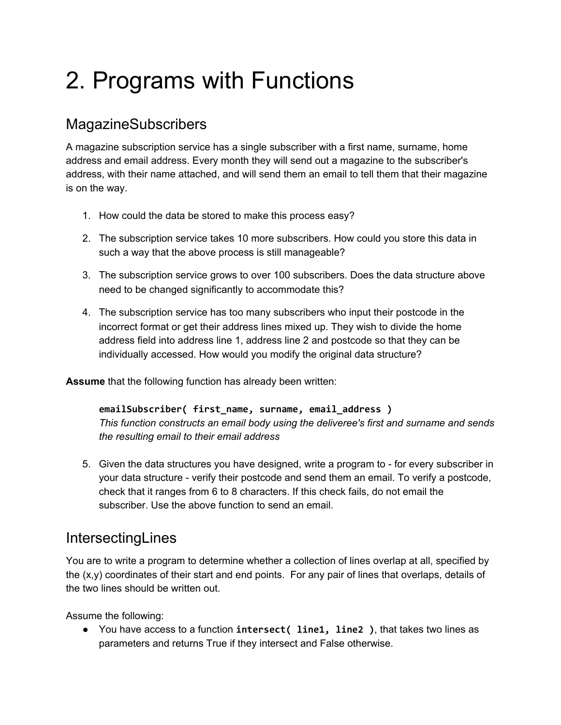# 2. Programs with Functions

# MagazineSubscribers

A magazine subscription service has a single subscriber with a first name, surname, home address and email address. Every month they will send out a magazine to the subscriber's address, with their name attached, and will send them an email to tell them that their magazine is on the way.

- 1. How could the data be stored to make this process easy?
- 2. The subscription service takes 10 more subscribers. How could you store this data in such a way that the above process is still manageable?
- 3. The subscription service grows to over 100 subscribers. Does the data structure above need to be changed significantly to accommodate this?
- 4. The subscription service has too many subscribers who input their postcode in the incorrect format or get their address lines mixed up. They wish to divide the home address field into address line 1, address line 2 and postcode so that they can be individually accessed. How would you modify the original data structure?

**Assume** that the following function has already been written:

**emailSubscriber( first\_name, surname, email\_address )** *This function constructs an email body using the deliveree's first and surname and sends the resulting email to their email address*

5. Given the data structures you have designed, write a program to - for every subscriber in your data structure - verify their postcode and send them an email. To verify a postcode, check that it ranges from 6 to 8 characters. If this check fails, do not email the subscriber. Use the above function to send an email.

## **IntersectingLines**

You are to write a program to determine whether a collection of lines overlap at all, specified by the  $(x,y)$  coordinates of their start and end points. For any pair of lines that overlaps, details of the two lines should be written out.

Assume the following:

● You have access to a function **intersect( line1, line2 )**, that takes two lines as parameters and returns True if they intersect and False otherwise.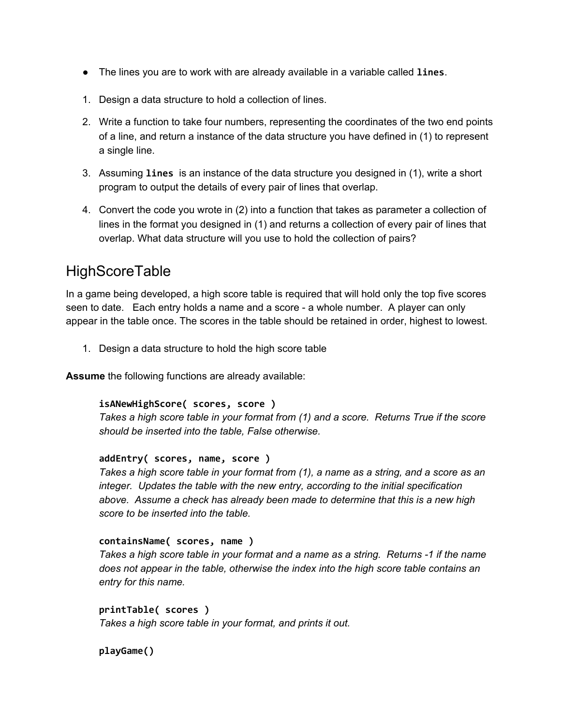- The lines you are to work with are already available in a variable called **lines**.
- 1. Design a data structure to hold a collection of lines.
- 2. Write a function to take four numbers, representing the coordinates of the two end points of a line, and return a instance of the data structure you have defined in (1) to represent a single line.
- 3. Assuming **lines** is an instance of the data structure you designed in (1), write a short program to output the details of every pair of lines that overlap.
- 4. Convert the code you wrote in (2) into a function that takes as parameter a collection of lines in the format you designed in (1) and returns a collection of every pair of lines that overlap. What data structure will you use to hold the collection of pairs?

## **HighScoreTable**

In a game being developed, a high score table is required that will hold only the top five scores seen to date. Each entry holds a name and a score - a whole number. A player can only appear in the table once. The scores in the table should be retained in order, highest to lowest.

1. Design a data structure to hold the high score table

**Assume** the following functions are already available:

#### **isANewHighScore( scores, score )**

*Takes a high score table in your format from (1) and a score. Returns True if the score should be inserted into the table, False otherwise.*

#### **addEntry( scores, name, score )**

Takes a high score table in your format from (1), a name as a string, and a score as an *integer. Updates the table with the new entry, according to the initial specification above. Assume a check has already been made to determine that this is a new high score to be inserted into the table.*

#### **containsName( scores, name )**

*Takes a high score table in your format and a name as a string. Returns -1 if the name does not appear in the table, otherwise the index into the high score table contains an entry for this name.*

**printTable( scores )** *Takes a high score table in your format, and prints it out.*

**playGame()**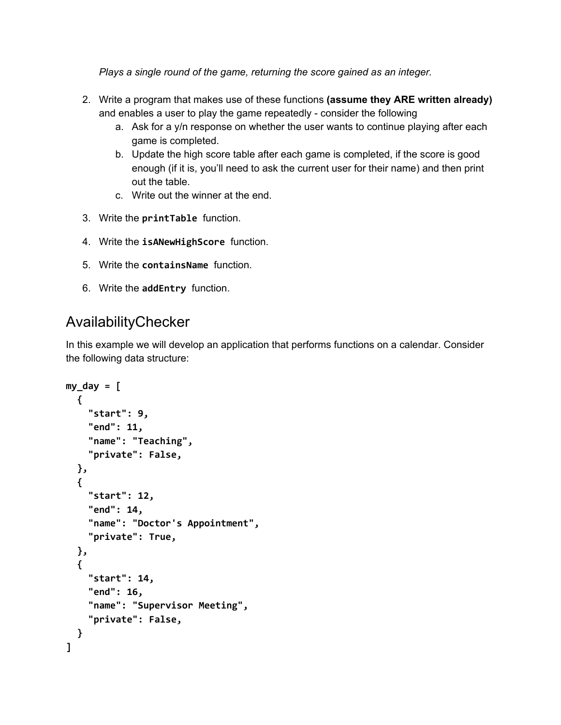*Plays a single round of the game, returning the score gained as an integer.*

- 2. Write a program that makes use of these functions **(assume they ARE written already)** and enables a user to play the game repeatedly - consider the following
	- a. Ask for a y/n response on whether the user wants to continue playing after each game is completed.
	- b. Update the high score table after each game is completed, if the score is good enough (if it is, you'll need to ask the current user for their name) and then print out the table.
	- c. Write out the winner at the end.
- 3. Write the **printTable** function.
- 4. Write the **isANewHighScore** function.
- 5. Write the **containsName** function.
- 6. Write the **addEntry** function.

## AvailabilityChecker

In this example we will develop an application that performs functions on a calendar. Consider the following data structure:

```
my_day = [
  {
    "start": 9,
    "end": 11,
    "name": "Teaching",
    "private": False,
  },
  {
    "start": 12,
    "end": 14,
    "name": "Doctor's Appointment",
    "private": True,
  },
  {
    "start": 14,
    "end": 16,
    "name": "Supervisor Meeting",
    "private": False,
  }
]
```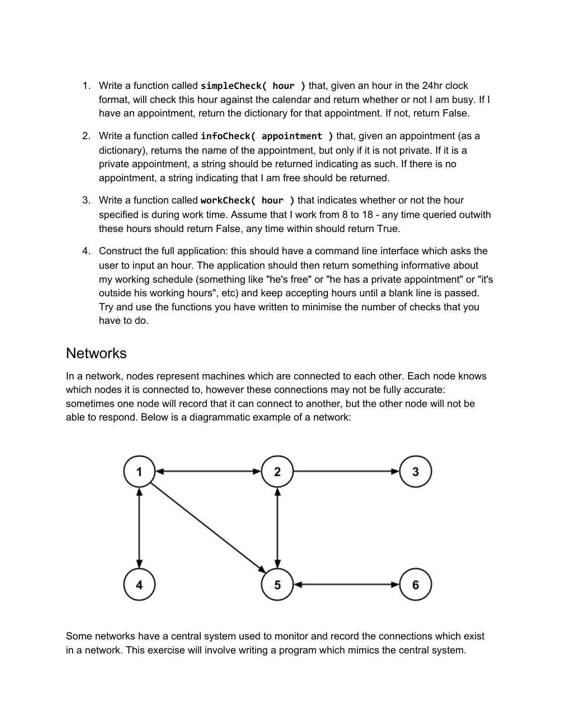- 1. Write a function called **simpleCheck( hour )** that, given an hour in the 24hr clock format, will check this hour against the calendar and return whether or not I am busy. If I have an appointment, return the dictionary for that appointment. If not, return False.
- 2. Write a function called **infoCheck( appointment )** that, given an appointment (as a dictionary), returns the name of the appointment, but only if it is not private. If it is a private appointment, a string should be returned indicating as such. If there is no appointment, a string indicating that I am free should be returned.
- 3. Write a function called **workCheck( hour )** that indicates whether or not the hour specified is during work time. Assume that I work from 8 to 18 - any time queried outwith these hours should return False, any time within should return True.
- 4. Construct the full application: this should have a command line interface which asks the user to input an hour. The application should then return something informative about my working schedule (something like "he's free" or "he has a private appointment" or "it's outside his working hours", etc) and keep accepting hours until a blank line is passed. Try and use the functions you have written to minimise the number of checks that you have to do.

### **Networks**

In a network, nodes represent machines which are connected to each other. Each node knows which nodes it is connected to, however these connections may not be fully accurate: sometimes one node will record that it can connect to another, but the other node will not be able to respond. Below is a diagrammatic example of a network:



Some networks have a central system used to monitor and record the connections which exist in a network. This exercise will involve writing a program which mimics the central system.